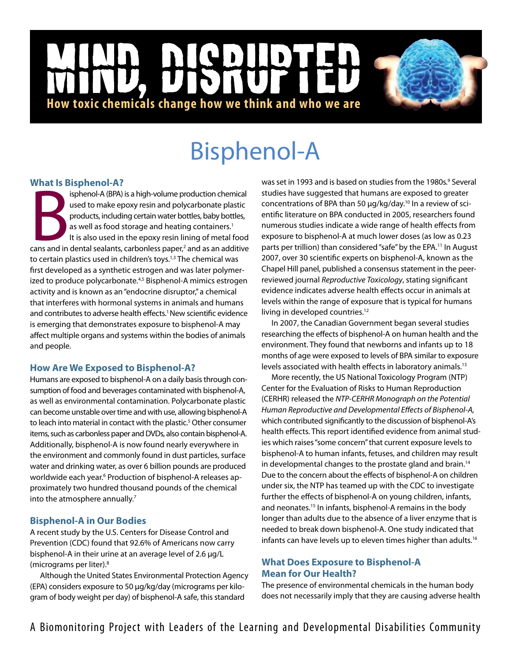## NCD  $\mathbf{D}$ |<br>|<br>| **How toxic chemicals change how we think and who we are**

# Bisphenol-A

## **What Is Bisphenol-A?**

Experiences and is a high-volume production chemical<br>used to make epoxy resin and polycarbonate plastic<br>products, including certain water bottles, baby bottles,<br>as well as food storage and heating containers.<sup>1</sup><br>It is also isphenol-A (BPA) is a high-volume production chemical used to make epoxy resin and polycarbonate plastic products, including certain water bottles, baby bottles, as well as food storage and heating containers.<sup>1</sup> It is also used in the epoxy resin lining of metal food to certain plastics used in children's toys.<sup>1,3</sup> The chemical was first developed as a synthetic estrogen and was later polymerized to produce polycarbonate.<sup>4,5</sup> Bisphenol-A mimics estrogen activity and is known as an "endocrine disruptor," a chemical that interferes with hormonal systems in animals and humans and contributes to adverse health effects.<sup>1</sup> New scientific evidence is emerging that demonstrates exposure to bisphenol-A may affect multiple organs and systems within the bodies of animals and people.

## **How Are We Exposed to Bisphenol-A?**

Humans are exposed to bisphenol-A on a daily basis through consumption of food and beverages contaminated with bisphenol-A, as well as environmental contamination. Polycarbonate plastic can become unstable over time and with use, allowing bisphenol-A to leach into material in contact with the plastic.<sup>5</sup> Other consumer items, such as carbonless paper and DVDs, also contain bisphenol-A. Additionally, bisphenol-A is now found nearly everywhere in the environment and commonly found in dust particles, surface water and drinking water, as over 6 billion pounds are produced worldwide each year.<sup>6</sup> Production of bisphenol-A releases approximately two hundred thousand pounds of the chemical into the atmosphere annually.<sup>7</sup>

## **Bisphenol-A in Our Bodies**

A recent study by the U.S. Centers for Disease Control and Prevention (CDC) found that 92.6% of Americans now carry bisphenol-A in their urine at an average level of 2.6 µg/L (micrograms per liter).8

Although the United States Environmental Protection Agency (EPA) considers exposure to 50 µg/kg/day (micrograms per kilogram of body weight per day) of bisphenol-A safe, this standard

was set in 1993 and is based on studies from the 1980s.<sup>9</sup> Several studies have suggested that humans are exposed to greater concentrations of BPA than 50 µg/kg/day.10 In a review of scientific literature on BPA conducted in 2005, researchers found numerous studies indicate a wide range of health effects from exposure to bisphenol-A at much lower doses (as low as 0.23 parts per trillion) than considered "safe" by the EPA.<sup>11</sup> In August 2007, over 30 scientific experts on bisphenol-A, known as the Chapel Hill panel, published a consensus statement in the peerreviewed journal *Reproductive Toxicology*, stating significant evidence indicates adverse health effects occur in animals at levels within the range of exposure that is typical for humans living in developed countries.<sup>12</sup>

In 2007, the Canadian Government began several studies researching the effects of bisphenol-A on human health and the environment. They found that newborns and infants up to 18 months of age were exposed to levels of BPA similar to exposure levels associated with health effects in laboratory animals.<sup>13</sup>

More recently, the US National Toxicology Program (NTP) Center for the Evaluation of Risks to Human Reproduction (CERHR) released the *NTP-CERHR Monograph on the Potential Human Reproductive and Developmental Effects of Bisphenol-A,* which contributed significantly to the discussion of bisphenol-A's health effects. This report identified evidence from animal studies which raises "some concern" that current exposure levels to bisphenol-A to human infants, fetuses, and children may result in developmental changes to the prostate gland and brain.<sup>14</sup> Due to the concern about the effects of bisphenol-A on children under six, the NTP has teamed up with the CDC to investigate further the effects of bisphenol-A on young children, infants, and neonates.15 In infants, bisphenol-A remains in the body longer than adults due to the absence of a liver enzyme that is needed to break down bisphenol-A. One study indicated that infants can have levels up to eleven times higher than adults.<sup>16</sup>

## **What Does Exposure to Bisphenol-A Mean for Our Health?**

The presence of environmental chemicals in the human body does not necessarily imply that they are causing adverse health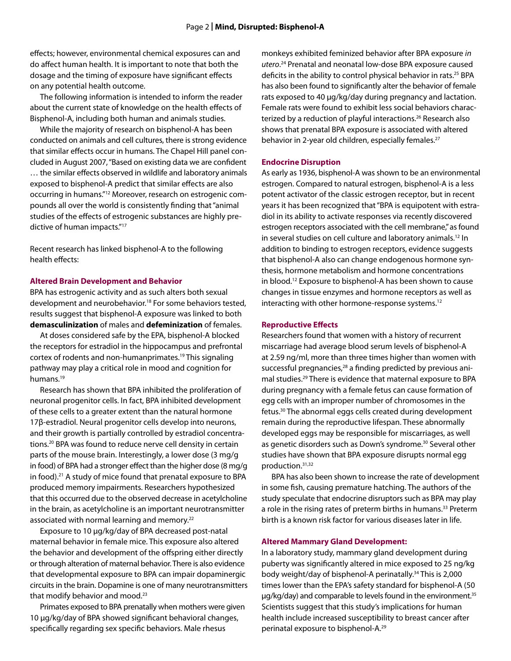effects; however, environmental chemical exposures can and do affect human health. It is important to note that both the dosage and the timing of exposure have significant effects on any potential health outcome.

The following information is intended to inform the reader about the current state of knowledge on the health effects of Bisphenol-A, including both human and animals studies.

While the majority of research on bisphenol-A has been conducted on animals and cell cultures, there is strong evidence that similar effects occur in humans. The Chapel Hill panel concluded in August 2007, "Based on existing data we are confident … the similar effects observed in wildlife and laboratory animals exposed to bisphenol-A predict that similar effects are also occurring in humans."12 Moreover, research on estrogenic compounds all over the world is consistently finding that "animal studies of the effects of estrogenic substances are highly predictive of human impacts."17

Recent research has linked bisphenol-A to the following health effects:

#### **Altered Brain Development and Behavior**

BPA has estrogenic activity and as such alters both sexual development and neurobehavior.<sup>18</sup> For some behaviors tested, results suggest that bisphenol-A exposure was linked to both **demasculinization** of males and **defeminization** of females.

At doses considered safe by the EPA, bisphenol-A blocked the receptors for estradiol in the hippocampus and prefrontal cortex of rodents and non-humanprimates.19 This signaling pathway may play a critical role in mood and cognition for humans.<sup>19</sup>

Research has shown that BPA inhibited the proliferation of neuronal progenitor cells. In fact, BPA inhibited development of these cells to a greater extent than the natural hormone 17β-estradiol. Neural progenitor cells develop into neurons, and their growth is partially controlled by estradiol concentrations.20 BPA was found to reduce nerve cell density in certain parts of the mouse brain. Interestingly, a lower dose (3 mg/g in food) of BPA had a stronger effect than the higher dose (8 mg/g in food).<sup>21</sup> A study of mice found that prenatal exposure to BPA produced memory impairments. Researchers hypothesized that this occurred due to the observed decrease in acetylcholine in the brain, as acetylcholine is an important neurotransmitter associated with normal learning and memory.<sup>22</sup>

Exposure to 10 µg/kg/day of BPA decreased post-natal maternal behavior in female mice. This exposure also altered the behavior and development of the offspring either directly or through alteration of maternal behavior. There is also evidence that developmental exposure to BPA can impair dopaminergic circuits in the brain. Dopamine is one of many neurotransmitters that modify behavior and mood.<sup>23</sup>

Primates exposed to BPA prenatally when mothers were given 10 µg/kg/day of BPA showed significant behavioral changes, specifically regarding sex specific behaviors. Male rhesus

monkeys exhibited feminized behavior after BPA exposure *in utero*. 24 Prenatal and neonatal low-dose BPA exposure caused deficits in the ability to control physical behavior in rats.<sup>25</sup> BPA has also been found to significantly alter the behavior of female rats exposed to 40 µg/kg/day during pregnancy and lactation. Female rats were found to exhibit less social behaviors characterized by a reduction of playful interactions.<sup>26</sup> Research also shows that prenatal BPA exposure is associated with altered behavior in 2-year old children, especially females.<sup>27</sup>

#### **Endocrine Disruption**

As early as 1936, bisphenol-A was shown to be an environmental estrogen. Compared to natural estrogen, bisphenol-A is a less potent activator of the classic estrogen receptor, but in recent years it has been recognized that "BPA is equipotent with estradiol in its ability to activate responses via recently discovered estrogen receptors associated with the cell membrane," as found in several studies on cell culture and laboratory animals.<sup>12</sup> In addition to binding to estrogen receptors, evidence suggests that bisphenol-A also can change endogenous hormone synthesis, hormone metabolism and hormone concentrations in blood.12 Exposure to bisphenol-A has been shown to cause changes in tissue enzymes and hormone receptors as well as interacting with other hormone-response systems.<sup>12</sup>

#### **Reproductive Effects**

Researchers found that women with a history of recurrent miscarriage had average blood serum levels of bisphenol-A at 2.59 ng/ml, more than three times higher than women with successful pregnancies,<sup>28</sup> a finding predicted by previous animal studies.<sup>29</sup> There is evidence that maternal exposure to BPA during pregnancy with a female fetus can cause formation of egg cells with an improper number of chromosomes in the fetus.30 The abnormal eggs cells created during development remain during the reproductive lifespan. These abnormally developed eggs may be responsible for miscarriages, as well as genetic disorders such as Down's syndrome.<sup>30</sup> Several other studies have shown that BPA exposure disrupts normal egg production.31,32

BPA has also been shown to increase the rate of development in some fish, causing premature hatching. The authors of the study speculate that endocrine disruptors such as BPA may play a role in the rising rates of preterm births in humans.<sup>33</sup> Preterm birth is a known risk factor for various diseases later in life.

#### **Altered Mammary Gland Development:**

In a laboratory study, mammary gland development during puberty was significantly altered in mice exposed to 25 ng/kg body weight/day of bisphenol-A perinatally.<sup>34</sup> This is 2,000 times lower than the EPA's safety standard for bisphenol-A (50 µg/kg/day) and comparable to levels found in the environment.<sup>35</sup> Scientists suggest that this study's implications for human health include increased susceptibility to breast cancer after perinatal exposure to bisphenol-A.29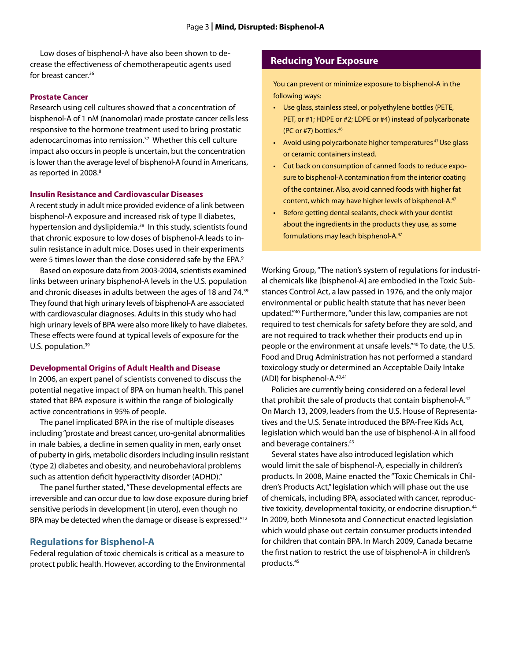Low doses of bisphenol-A have also been shown to decrease the effectiveness of chemotherapeutic agents used for breast cancer.36

#### **Prostate Cancer**

Research using cell cultures showed that a concentration of bisphenol-A of 1 nM (nanomolar) made prostate cancer cells less responsive to the hormone treatment used to bring prostatic adenocarcinomas into remission.<sup>37</sup> Whether this cell culture impact also occurs in people is uncertain, but the concentration is lower than the average level of bisphenol-A found in Americans, as reported in 2008.<sup>8</sup>

#### **Insulin Resistance and Cardiovascular Diseases**

A recent study in adult mice provided evidence of a link between bisphenol-A exposure and increased risk of type II diabetes, hypertension and dyslipidemia.<sup>38</sup> In this study, scientists found that chronic exposure to low doses of bisphenol-A leads to insulin resistance in adult mice. Doses used in their experiments were 5 times lower than the dose considered safe by the EPA.<sup>9</sup>

Based on exposure data from 2003-2004, scientists examined links between urinary bisphenol-A levels in the U.S. population and chronic diseases in adults between the ages of 18 and 74.<sup>39</sup> They found that high urinary levels of bisphenol-A are associated with cardiovascular diagnoses. Adults in this study who had high urinary levels of BPA were also more likely to have diabetes. These effects were found at typical levels of exposure for the U.S. population.<sup>39</sup>

#### **Developmental Origins of Adult Health and Disease**

In 2006, an expert panel of scientists convened to discuss the potential negative impact of BPA on human health. This panel stated that BPA exposure is within the range of biologically active concentrations in 95% of people.

The panel implicated BPA in the rise of multiple diseases including "prostate and breast cancer, uro-genital abnormalities in male babies, a decline in semen quality in men, early onset of puberty in girls, metabolic disorders including insulin resistant (type 2) diabetes and obesity, and neurobehavioral problems such as attention deficit hyperactivity disorder (ADHD)."

The panel further stated, "These developmental effects are irreversible and can occur due to low dose exposure during brief sensitive periods in development [in utero], even though no BPA may be detected when the damage or disease is expressed."<sup>12</sup>

#### **Regulations for Bisphenol-A**

Federal regulation of toxic chemicals is critical as a measure to protect public health. However, according to the Environmental

### **Reducing Your Exposure**

You can prevent or minimize exposure to bisphenol-A in the following ways:

- Use glass, stainless steel, or polyethylene bottles (PETE, PET, or #1; HDPE or #2; LDPE or #4) instead of polycarbonate (PC or #7) bottles.46
- Avoid using polycarbonate higher temperatures<sup>47</sup> Use glass or ceramic containers instead.
- • Cut back on consumption of canned foods to reduce exposure to bisphenol-A contamination from the interior coating of the container. Also, avoid canned foods with higher fat content, which may have higher levels of bisphenol-A.47
- • Before getting dental sealants, check with your dentist about the ingredients in the products they use, as some formulations may leach bisphenol-A.47

Working Group, "The nation's system of regulations for industrial chemicals like [bisphenol-A] are embodied in the Toxic Substances Control Act, a law passed in 1976, and the only major environmental or public health statute that has never been updated."40 Furthermore, "under this law, companies are not required to test chemicals for safety before they are sold, and are not required to track whether their products end up in people or the environment at unsafe levels."40 To date, the U.S. Food and Drug Administration has not performed a standard toxicology study or determined an Acceptable Daily Intake (ADI) for bisphenol-A.40,41

Policies are currently being considered on a federal level that prohibit the sale of products that contain bisphenol-A.<sup>42</sup> On March 13, 2009, leaders from the U.S. House of Representatives and the U.S. Senate introduced the BPA-Free Kids Act, legislation which would ban the use of bisphenol-A in all food and beverage containers.<sup>43</sup>

Several states have also introduced legislation which would limit the sale of bisphenol-A, especially in children's products. In 2008, Maine enacted the "Toxic Chemicals in Children's Products Act," legislation which will phase out the use of chemicals, including BPA, associated with cancer, reproductive toxicity, developmental toxicity, or endocrine disruption.<sup>44</sup> In 2009, both Minnesota and Connecticut enacted legislation which would phase out certain consumer products intended for children that contain BPA. In March 2009, Canada became the first nation to restrict the use of bisphenol-A in children's products.45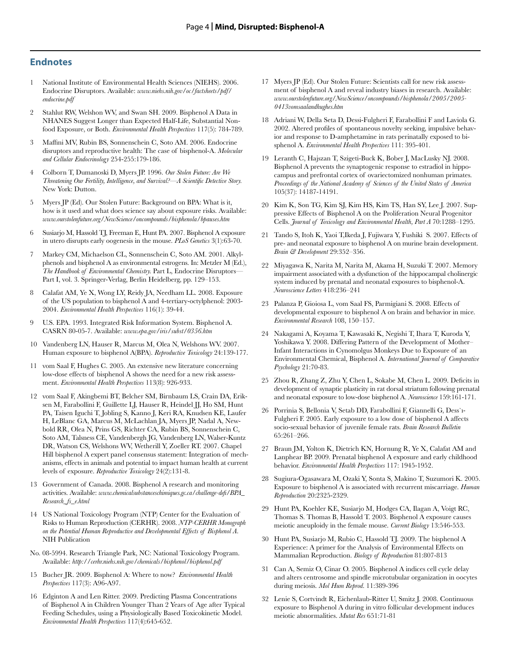#### **Endnotes**

- 1 National Institute of Environmental Health Sciences (NIEHS). 2006. Endocrine Disruptors. Available: *www.niehs.nih.gov/oc/factsheets/pdf/ endocrine.pdf*
- 2 Stahlut RW, Welshon WV, and Swan SH. 2009. Bisphenol A Data in NHANES Suggest Longer than Expected Half-Life, Substantial Nonfood Exposure, or Both. *Environmental Health Perspectives* 117(5): 784-789.
- 3 Maffini MV, Rubin BS, Sonnenschein C, Soto AM. 2006. Endocrine disruptors and reproductive health: The case of bisphenol-A. *Molecular and Cellular Endocrinology* 254-255:179-186.
- 4 Colborn T, Dumanoski D, Myers JP. 1996. *Our Stolen Future: Are We Threatening Our Fertility, Intelligence, and Survival?—A Scientific Detective Story.* New York: Dutton.
- 5 Myers JP (Ed). Our Stolen Future: Background on BPA: What is it, how is it used and what does science say about exposure risks. Available: *www.ourstolenfuture.org/NewScience/oncompounds/bisphenola/bpauses.htm*
- 6 Susiarjo M, Hassold TJ, Freeman E, Hunt PA. 2007. Bisphenol A exposure in utero disrupts early oogenesis in the mouse. *PLoS Genetics* 3(1):63-70.
- 7 Markey CM, Michaelson CL, Sonnenschein C, Soto AM. 2001. Alkylphenols and bisphenol A as environmental estrogens. In: Metzler M (Ed.), *The Handbook of Environmental Chemistry.* Part L, Endocrine Disruptors— Part I, vol. 3. Springer-Verlag, Berlin Heidelberg, pp. 129–153.
- 8 Calafat AM, Ye X, Wong LY, Reidy JA, Needham LL. 2008. Exposure of the US population to bisphenol A and 4-tertiary-octylphenol: 2003- 2004. *Environmental Health Perspectives* 116(1): 39-44.
- 9 U.S. EPA. 1993. Integrated Risk Information System. Bisphenol A. CASRN 80-05-7. Available: *www.epa.gov/iris/subst/0356.htm*
- 10 Vandenberg LN, Hauser R, Marcus M, Olea N, Welshons WV. 2007. Human exposure to bisphenol A(BPA). *Reproductive Toxicology* 24:139-177.
- 11 vom Saal F, Hughes C. 2005. An extensive new literature concerning low-dose effects of bisphenol A shows the need for a new risk assessment. *Environmental Health Perspectives* 113(8): 926-933.
- 12 vom Saal F, Akingbemi BT, Belcher SM, Birnbaum LS, Crain DA, Eriksen M, Farabollini F, Guillette LJ, Hauser R, Heindel JJ, Ho SM, Hunt PA, Taisen Iguchi T, Jobling S, Kanno J, Keri RA, Knudsen KE, Laufer H, LeBlanc GA, Marcus M, McLachlan JA, Myers JP, Nadal A, Newbold RR, Olea N, Prins GS, Richter CA, Rubin BS, Sonnenschein C, Soto AM, Talsness CE, Vandenbergh JG, Vandenberg LN, Walser-Kuntz DR, Watson CS, Welshons WV, Wetherill Y, Zoeller RT. 2007. Chapel Hill bisphenol A expert panel consensus statement: Integration of mechanisms, effects in animals and potential to impact human health at current levels of exposure. *Reproductive Toxicology* 24(2):131-8.
- 13 Government of Canada. 2008. Bisphenol A research and monitoring activities. Available: *www.chemicalsubstanceschimiques.gc.ca/challenge-defi/BPA\_ Research\_fs\_e.html*
- 14 US National Toxicology Program (NTP) Center for the Evaluation of Risks to Human Reproduction (CERHR). 2008. *NTP-CERHR Monograph on the Potential Human Reproductive and Developmental Effects of Bisphenol A*. NIH Publication
- No. 08-5994. Research Triangle Park, NC: National Toxicology Program. Available: *http://cerhr.niehs.nih.gov/chemicals/bisphenol/bisphenol.pdf*
- 15 Bucher JR. 2009. Bisphenol A: Where to now? *Environmental Health Perspectives* 117(3): A96-A97.
- 16 Edginton A and Len Ritter. 2009. Predicting Plasma Concentrations of Bisphenol A in Children Younger Than 2 Years of Age after Typical Feeding Schedules, using a Physiologically Based Toxicokinetic Model. *Environmental Health Perspectives* 117(4):645-652.
- 17 Myers JP (Ed). Our Stolen Future: Scientists call for new risk assessment of bisphenol A and reveal industry biases in research. Available: *www.ourstolenfuture.org/NewScience/oncompounds/bisphenola/2005/2005- 0413vomsaalandhughes.htm*
- 18 Adriani W, Della Seta D, Dessi-Fulgheri F, Farabollini F and Laviola G. 2002. Altered profiles of spontaneous novelty seeking, impulsive behavior and response to D-amphetamine in rats perinatally exposed to bisphenol A. *Environmental Health Perspectives* 111: 395-401.
- 19 Leranth C, Hajszan T, Szigeti-Buck K, Bober J, MacLusky NJ. 2008. Bisphenol A prevents the synaptogenic response to estradiol in hippocampus and prefrontal cortex of ovariectomized nonhuman primates. *Proceedings of the National Academy of Sciences of the United States of America* 105(37): 14187-14191.
- 20 Kim K, Son TG, Kim SJ, Kim HS, Kim TS, Han SY, Lee J. 2007. Suppressive Effects of Bisphenol A on the Proliferation Neural Progenitor Cells. *Journal of Toxicology and Environmental Health, Part A* 70:1288–1295.
- 21 Tando S, Itoh K, Yaoi T,Ikeda J, Fujiwara Y, Fushiki S. 2007. Effects of pre- and neonatal exposure to bisphenol A on murine brain development. *Brain & Development* 29:352–356.
- 22 Miyagawa K, Narita M, Narita M, Akama H, Suzuki T. 2007. Memory impairment associated with a dysfunction of the hippocampal cholinergic system induced by prenatal and neonatal exposures to bisphenol-A. *Neuroscience Letters* 418:236–241
- 23 Palanza P, Gioiosa L, vom Saal FS, Parmigiani S. 2008. Effects of developmental exposure to bisphenol A on brain and behavior in mice. *Environmental Research* 108, 150–157.
- 24 Nakagami A, Koyama T, Kawasaki K, Negishi T, Ihara T, Kuroda Y, Yoshikawa Y. 2008. Differing Pattern of the Development of Mother– Infant Interactions in Cynomolgus Monkeys Due to Exposure of an Environmental Chemical, Bisphenol A. *International Journal of Comparative Psychology* 21:70-83.
- 25 Zhou R, Zhang Z, Zhu Y, Chen L, Sokabe M, Chen L. 2009. Deficits in development of synaptic plasticity in rat dorsal striatum following prenatal and neonatal exposure to low-dose bisphenol A. *Neuroscience* 159:161-171.
- 26 Porrinia S, Bellonia V, Setab DD, Farabollini F, Giannelli G, Dess`ı-Fulgheri F. 2005. Early exposure to a low dose of bisphenol A affects socio-sexual behavior of juvenile female rats. *Brain Research Bulletin* 65:261–266.
- 27 Braun JM, Yolton K, Dietrich KN, Hornung R, Ye X, Calafat AM and Lanphear BP. 2009. Prenatal bisphenol A exposure and early childhood behavior. *Environmental Health Perspectives* 117: 1945-1952.
- 28 Sugiura-Ogasawara M, Ozaki Y, Sonta S, Makino T, Suzumori K. 2005. Exposure to bisphenol A is associated with recurrent miscarriage. *Human Reproduction* 20:2325-2329.
- 29 Hunt PA, Koehler KE, Susiarjo M, Hodges CA, Ilagan A, Voigt RC, Thomas S. Thomas B, Hassold T. 2003. Bisphenol A exposure causes meiotic aneuploidy in the female mouse. *Current Biology* 13:546-553.
- 30 Hunt PA, Susiarjo M, Rubio C, Hassold TJ. 2009. The bisphenol A Experience: A primer for the Analysis of Environmental Effects on Mammalian Reproduction. *Biology of Reproduction* 81:807-813
- 31 Can A, Semiz O, Cinar O. 2005. Bisphenol A indices cell cycle delay and alters centrosome and spindle microtubular organization in oocytes during meiosis. *Mol Hum Reprod.* 11:389-396
- 32 Lenie S, Cortvindt R, Eichenlaub-Ritter U, Smitz J. 2008. Continuous exposure to Bisphenol A during in vitro follicular development induces meiotic abnormalities. *Mutat Res* 651:71-81